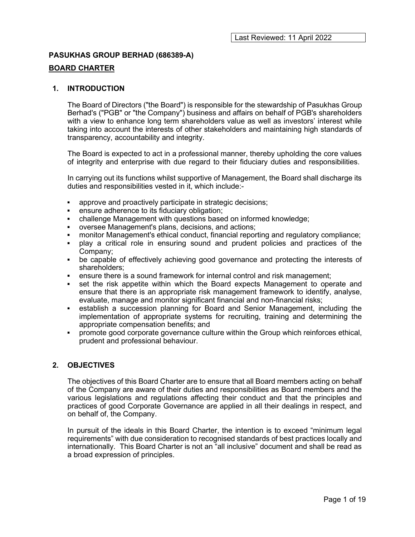## PASUKHAS GROUP BERHAD (686389-A)

## BOARD CHARTER

### 1. INTRODUCTION

The Board of Directors ("the Board") is responsible for the stewardship of Pasukhas Group Berhad's ("PGB" or "the Company") business and affairs on behalf of PGB's shareholders with a view to enhance long term shareholders value as well as investors' interest while taking into account the interests of other stakeholders and maintaining high standards of transparency, accountability and integrity.

The Board is expected to act in a professional manner, thereby upholding the core values of integrity and enterprise with due regard to their fiduciary duties and responsibilities.

In carrying out its functions whilst supportive of Management, the Board shall discharge its duties and responsibilities vested in it, which include:-

- approve and proactively participate in strategic decisions;
- ensure adherence to its fiduciary obligation;
- challenge Management with questions based on informed knowledge;
- oversee Management's plans, decisions, and actions;
- monitor Management's ethical conduct, financial reporting and regulatory compliance;
- play a critical role in ensuring sound and prudent policies and practices of the Company;
- be capable of effectively achieving good governance and protecting the interests of shareholders;
- ensure there is a sound framework for internal control and risk management;
- set the risk appetite within which the Board expects Management to operate and ensure that there is an appropriate risk management framework to identify, analyse, evaluate, manage and monitor significant financial and non-financial risks;
- establish a succession planning for Board and Senior Management, including the implementation of appropriate systems for recruiting, training and determining the appropriate compensation benefits; and
- **•** promote good corporate governance culture within the Group which reinforces ethical, prudent and professional behaviour.

## 2. OBJECTIVES

The objectives of this Board Charter are to ensure that all Board members acting on behalf of the Company are aware of their duties and responsibilities as Board members and the various legislations and regulations affecting their conduct and that the principles and practices of good Corporate Governance are applied in all their dealings in respect, and on behalf of, the Company.

In pursuit of the ideals in this Board Charter, the intention is to exceed "minimum legal requirements" with due consideration to recognised standards of best practices locally and internationally. This Board Charter is not an "all inclusive" document and shall be read as a broad expression of principles.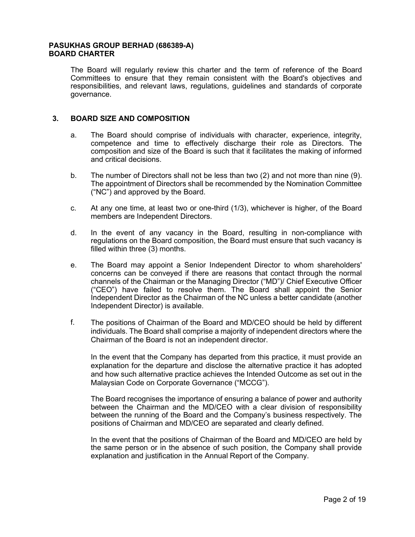The Board will regularly review this charter and the term of reference of the Board Committees to ensure that they remain consistent with the Board's objectives and responsibilities, and relevant laws, regulations, guidelines and standards of corporate governance.

## 3. BOARD SIZE AND COMPOSITION

- a. The Board should comprise of individuals with character, experience, integrity, competence and time to effectively discharge their role as Directors. The composition and size of the Board is such that it facilitates the making of informed and critical decisions.
- b. The number of Directors shall not be less than two (2) and not more than nine (9). The appointment of Directors shall be recommended by the Nomination Committee ("NC") and approved by the Board.
- c. At any one time, at least two or one-third (1/3), whichever is higher, of the Board members are Independent Directors.
- d. In the event of any vacancy in the Board, resulting in non-compliance with regulations on the Board composition, the Board must ensure that such vacancy is filled within three (3) months.
- e. The Board may appoint a Senior Independent Director to whom shareholders' concerns can be conveyed if there are reasons that contact through the normal channels of the Chairman or the Managing Director ("MD")/ Chief Executive Officer ("CEO") have failed to resolve them. The Board shall appoint the Senior Independent Director as the Chairman of the NC unless a better candidate (another Independent Director) is available.
- f. The positions of Chairman of the Board and MD/CEO should be held by different individuals. The Board shall comprise a majority of independent directors where the Chairman of the Board is not an independent director.

In the event that the Company has departed from this practice, it must provide an explanation for the departure and disclose the alternative practice it has adopted and how such alternative practice achieves the Intended Outcome as set out in the Malaysian Code on Corporate Governance ("MCCG").

The Board recognises the importance of ensuring a balance of power and authority between the Chairman and the MD/CEO with a clear division of responsibility between the running of the Board and the Company's business respectively. The positions of Chairman and MD/CEO are separated and clearly defined.

In the event that the positions of Chairman of the Board and MD/CEO are held by the same person or in the absence of such position, the Company shall provide explanation and justification in the Annual Report of the Company.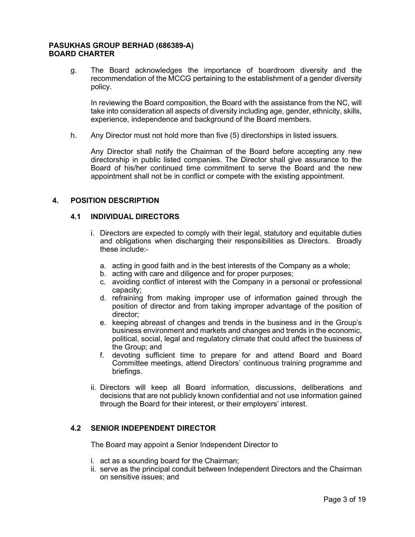g. The Board acknowledges the importance of boardroom diversity and the recommendation of the MCCG pertaining to the establishment of a gender diversity policy.

In reviewing the Board composition, the Board with the assistance from the NC, will take into consideration all aspects of diversity including age, gender, ethnicity, skills, experience, independence and background of the Board members.

h. Any Director must not hold more than five (5) directorships in listed issuers.

Any Director shall notify the Chairman of the Board before accepting any new directorship in public listed companies. The Director shall give assurance to the Board of his/her continued time commitment to serve the Board and the new appointment shall not be in conflict or compete with the existing appointment.

## 4. POSITION DESCRIPTION

## 4.1 INDIVIDUAL DIRECTORS

- i. Directors are expected to comply with their legal, statutory and equitable duties and obligations when discharging their responsibilities as Directors. Broadly these include:
	- a. acting in good faith and in the best interests of the Company as a whole;
	- b. acting with care and diligence and for proper purposes;
	- c. avoiding conflict of interest with the Company in a personal or professional capacity;
	- d. refraining from making improper use of information gained through the position of director and from taking improper advantage of the position of director;
	- e. keeping abreast of changes and trends in the business and in the Group's business environment and markets and changes and trends in the economic, political, social, legal and regulatory climate that could affect the business of the Group; and
	- f. devoting sufficient time to prepare for and attend Board and Board Committee meetings, attend Directors' continuous training programme and briefings.
- ii. Directors will keep all Board information, discussions, deliberations and decisions that are not publicly known confidential and not use information gained through the Board for their interest, or their employers' interest.

## 4.2 SENIOR INDEPENDENT DIRECTOR

The Board may appoint a Senior Independent Director to

- i. act as a sounding board for the Chairman;
- ii. serve as the principal conduit between Independent Directors and the Chairman on sensitive issues; and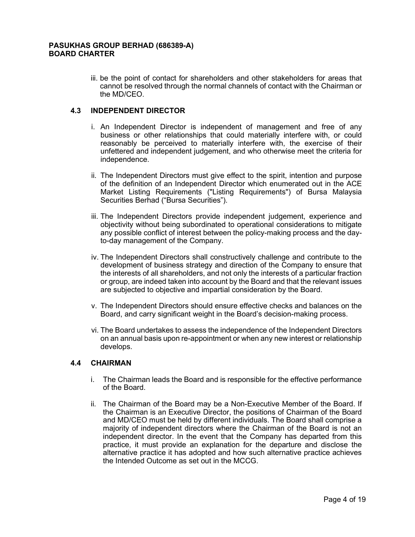iii. be the point of contact for shareholders and other stakeholders for areas that cannot be resolved through the normal channels of contact with the Chairman or the MD/CEO.

## 4.3 INDEPENDENT DIRECTOR

- i. An Independent Director is independent of management and free of any business or other relationships that could materially interfere with, or could reasonably be perceived to materially interfere with, the exercise of their unfettered and independent judgement, and who otherwise meet the criteria for independence.
- ii. The Independent Directors must give effect to the spirit, intention and purpose of the definition of an Independent Director which enumerated out in the ACE Market Listing Requirements ("Listing Requirements") of Bursa Malaysia Securities Berhad ("Bursa Securities").
- iii. The Independent Directors provide independent judgement, experience and objectivity without being subordinated to operational considerations to mitigate any possible conflict of interest between the policy-making process and the dayto-day management of the Company.
- iv. The Independent Directors shall constructively challenge and contribute to the development of business strategy and direction of the Company to ensure that the interests of all shareholders, and not only the interests of a particular fraction or group, are indeed taken into account by the Board and that the relevant issues are subjected to objective and impartial consideration by the Board.
- v. The Independent Directors should ensure effective checks and balances on the Board, and carry significant weight in the Board's decision-making process.
- vi. The Board undertakes to assess the independence of the Independent Directors on an annual basis upon re-appointment or when any new interest or relationship develops.

## 4.4 CHAIRMAN

- i. The Chairman leads the Board and is responsible for the effective performance of the Board.
- ii. The Chairman of the Board may be a Non-Executive Member of the Board. If the Chairman is an Executive Director, the positions of Chairman of the Board and MD/CEO must be held by different individuals. The Board shall comprise a majority of independent directors where the Chairman of the Board is not an independent director. In the event that the Company has departed from this practice, it must provide an explanation for the departure and disclose the alternative practice it has adopted and how such alternative practice achieves the Intended Outcome as set out in the MCCG.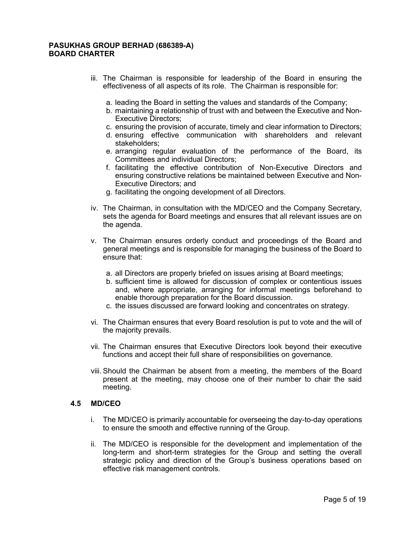- iii. The Chairman is responsible for leadership of the Board in ensuring the effectiveness of all aspects of its role. The Chairman is responsible for:
	- a. leading the Board in setting the values and standards of the Company;
	- b. maintaining a relationship of trust with and between the Executive and Non-Executive Directors;
	- c. ensuring the provision of accurate, timely and clear information to Directors;
	- d. ensuring effective communication with shareholders and relevant stakeholders;
	- e. arranging regular evaluation of the performance of the Board, its Committees and individual Directors;
	- f. facilitating the effective contribution of Non-Executive Directors and ensuring constructive relations be maintained between Executive and Non-Executive Directors; and
	- g. facilitating the ongoing development of all Directors.
- iv. The Chairman, in consultation with the MD/CEO and the Company Secretary, sets the agenda for Board meetings and ensures that all relevant issues are on the agenda.
- v. The Chairman ensures orderly conduct and proceedings of the Board and general meetings and is responsible for managing the business of the Board to ensure that:
	- a. all Directors are properly briefed on issues arising at Board meetings;
	- b. sufficient time is allowed for discussion of complex or contentious issues and, where appropriate, arranging for informal meetings beforehand to enable thorough preparation for the Board discussion.
	- c. the issues discussed are forward looking and concentrates on strategy.
- vi. The Chairman ensures that every Board resolution is put to vote and the will of the majority prevails.
- vii. The Chairman ensures that Executive Directors look beyond their executive functions and accept their full share of responsibilities on governance.
- viii. Should the Chairman be absent from a meeting, the members of the Board present at the meeting, may choose one of their number to chair the said meeting.

### 4.5 MD/CEO

- i. The MD/CEO is primarily accountable for overseeing the day-to-day operations to ensure the smooth and effective running of the Group.
- ii. The MD/CEO is responsible for the development and implementation of the long-term and short-term strategies for the Group and setting the overall strategic policy and direction of the Group's business operations based on effective risk management controls.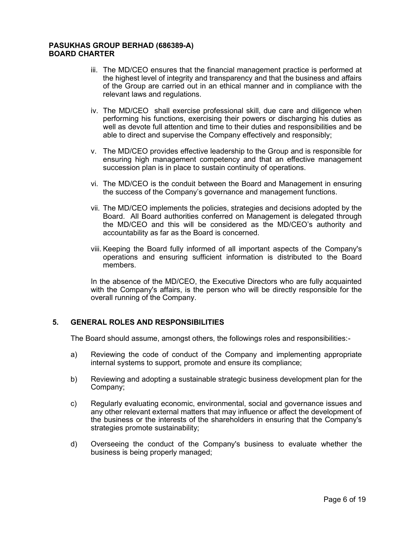- iii. The MD/CEO ensures that the financial management practice is performed at the highest level of integrity and transparency and that the business and affairs of the Group are carried out in an ethical manner and in compliance with the relevant laws and regulations.
- iv. The MD/CEO shall exercise professional skill, due care and diligence when performing his functions, exercising their powers or discharging his duties as well as devote full attention and time to their duties and responsibilities and be able to direct and supervise the Company effectively and responsibly;
- v. The MD/CEO provides effective leadership to the Group and is responsible for ensuring high management competency and that an effective management succession plan is in place to sustain continuity of operations.
- vi. The MD/CEO is the conduit between the Board and Management in ensuring the success of the Company's governance and management functions.
- vii. The MD/CEO implements the policies, strategies and decisions adopted by the Board. All Board authorities conferred on Management is delegated through the MD/CEO and this will be considered as the MD/CEO's authority and accountability as far as the Board is concerned.
- viii. Keeping the Board fully informed of all important aspects of the Company's operations and ensuring sufficient information is distributed to the Board members.

In the absence of the MD/CEO, the Executive Directors who are fully acquainted with the Company's affairs, is the person who will be directly responsible for the overall running of the Company.

## 5. GENERAL ROLES AND RESPONSIBILITIES

The Board should assume, amongst others, the followings roles and responsibilities:-

- a) Reviewing the code of conduct of the Company and implementing appropriate internal systems to support, promote and ensure its compliance;
- b) Reviewing and adopting a sustainable strategic business development plan for the Company;
- c) Regularly evaluating economic, environmental, social and governance issues and any other relevant external matters that may influence or affect the development of the business or the interests of the shareholders in ensuring that the Company's strategies promote sustainability;
- d) Overseeing the conduct of the Company's business to evaluate whether the business is being properly managed;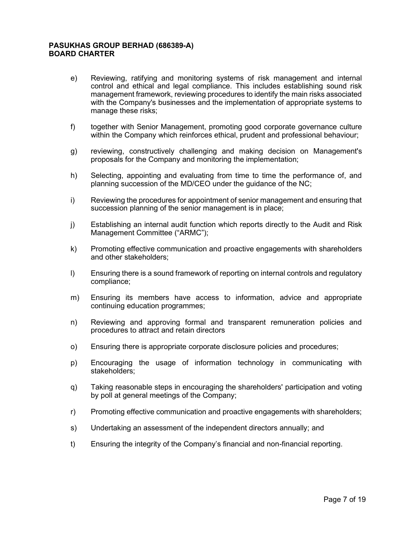- e) Reviewing, ratifying and monitoring systems of risk management and internal control and ethical and legal compliance. This includes establishing sound risk management framework, reviewing procedures to identify the main risks associated with the Company's businesses and the implementation of appropriate systems to manage these risks;
- f) together with Senior Management, promoting good corporate governance culture within the Company which reinforces ethical, prudent and professional behaviour;
- g) reviewing, constructively challenging and making decision on Management's proposals for the Company and monitoring the implementation;
- h) Selecting, appointing and evaluating from time to time the performance of, and planning succession of the MD/CEO under the guidance of the NC;
- i) Reviewing the procedures for appointment of senior management and ensuring that succession planning of the senior management is in place;
- j) Establishing an internal audit function which reports directly to the Audit and Risk Management Committee ("ARMC");
- k) Promoting effective communication and proactive engagements with shareholders and other stakeholders;
- l) Ensuring there is a sound framework of reporting on internal controls and regulatory compliance;
- m) Ensuring its members have access to information, advice and appropriate continuing education programmes;
- n) Reviewing and approving formal and transparent remuneration policies and procedures to attract and retain directors
- o) Ensuring there is appropriate corporate disclosure policies and procedures;
- p) Encouraging the usage of information technology in communicating with stakeholders;
- q) Taking reasonable steps in encouraging the shareholders' participation and voting by poll at general meetings of the Company;
- r) Promoting effective communication and proactive engagements with shareholders;
- s) Undertaking an assessment of the independent directors annually; and
- t) Ensuring the integrity of the Company's financial and non-financial reporting.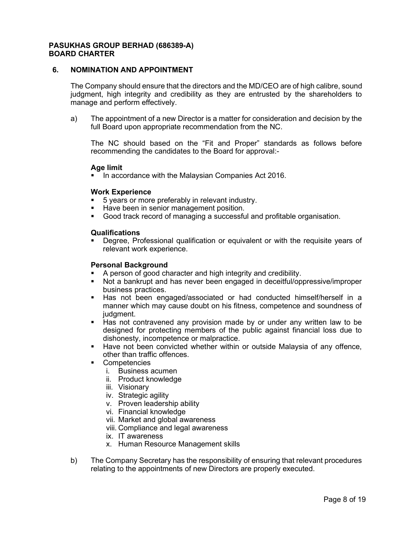## 6. NOMINATION AND APPOINTMENT

The Company should ensure that the directors and the MD/CEO are of high calibre, sound judgment, high integrity and credibility as they are entrusted by the shareholders to manage and perform effectively.

a) The appointment of a new Director is a matter for consideration and decision by the full Board upon appropriate recommendation from the NC.

The NC should based on the "Fit and Proper" standards as follows before recommending the candidates to the Board for approval:-

#### Age limit

In accordance with the Malaysian Companies Act 2016.

#### Work Experience

- 5 years or more preferably in relevant industry.
- Have been in senior management position.
- Good track record of managing a successful and profitable organisation.

#### Qualifications

 Degree, Professional qualification or equivalent or with the requisite years of relevant work experience.

### Personal Background

- A person of good character and high integrity and credibility.
- Not a bankrupt and has never been engaged in deceitful/oppressive/improper business practices.
- Has not been engaged/associated or had conducted himself/herself in a manner which may cause doubt on his fitness, competence and soundness of judgment.
- Has not contravened any provision made by or under any written law to be designed for protecting members of the public against financial loss due to dishonesty, incompetence or malpractice.
- Have not been convicted whether within or outside Malaysia of any offence, other than traffic offences.
- Competencies
	- i. Business acumen
	- ii. Product knowledge
	- iii. Visionary
	- iv. Strategic agility
	- v. Proven leadership ability
	- vi. Financial knowledge
	- vii. Market and global awareness
	- viii. Compliance and legal awareness
	- ix. IT awareness
	- x. Human Resource Management skills
- b) The Company Secretary has the responsibility of ensuring that relevant procedures relating to the appointments of new Directors are properly executed.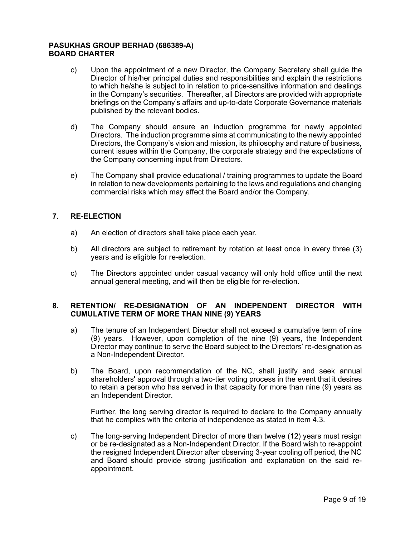- c) Upon the appointment of a new Director, the Company Secretary shall guide the Director of his/her principal duties and responsibilities and explain the restrictions to which he/she is subject to in relation to price-sensitive information and dealings in the Company's securities. Thereafter, all Directors are provided with appropriate briefings on the Company's affairs and up-to-date Corporate Governance materials published by the relevant bodies.
- d) The Company should ensure an induction programme for newly appointed Directors. The induction programme aims at communicating to the newly appointed Directors, the Company's vision and mission, its philosophy and nature of business, current issues within the Company, the corporate strategy and the expectations of the Company concerning input from Directors.
- e) The Company shall provide educational / training programmes to update the Board in relation to new developments pertaining to the laws and regulations and changing commercial risks which may affect the Board and/or the Company.

## 7. RE-ELECTION

- a) An election of directors shall take place each year.
- b) All directors are subject to retirement by rotation at least once in every three (3) years and is eligible for re-election.
- c) The Directors appointed under casual vacancy will only hold office until the next annual general meeting, and will then be eligible for re-election.

## 8. RETENTION/ RE-DESIGNATION OF AN INDEPENDENT DIRECTOR WITH CUMULATIVE TERM OF MORE THAN NINE (9) YEARS

- a) The tenure of an Independent Director shall not exceed a cumulative term of nine (9) years. However, upon completion of the nine (9) years, the Independent Director may continue to serve the Board subject to the Directors' re-designation as a Non-Independent Director.
- b) The Board, upon recommendation of the NC, shall justify and seek annual shareholders' approval through a two-tier voting process in the event that it desires to retain a person who has served in that capacity for more than nine (9) years as an Independent Director.

Further, the long serving director is required to declare to the Company annually that he complies with the criteria of independence as stated in item 4.3.

c) The long-serving Independent Director of more than twelve (12) years must resign or be re-designated as a Non-Independent Director. If the Board wish to re-appoint the resigned Independent Director after observing 3-year cooling off period, the NC and Board should provide strong justification and explanation on the said reappointment.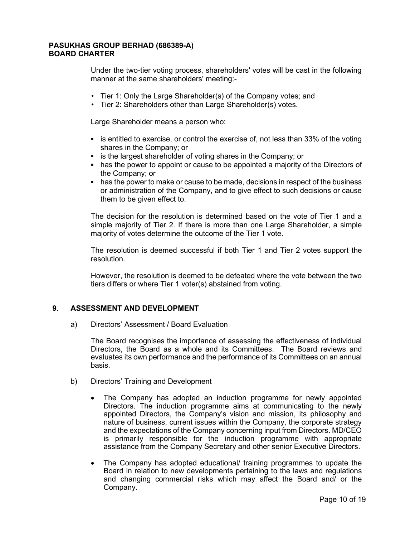Under the two-tier voting process, shareholders' votes will be cast in the following manner at the same shareholders' meeting:-

- Tier 1: Only the Large Shareholder(s) of the Company votes; and
- Tier 2: Shareholders other than Large Shareholder(s) votes.

Large Shareholder means a person who:

- $\blacksquare$  is entitled to exercise, or control the exercise of, not less than 33% of the voting shares in the Company; or
- **EXED is the largest shareholder of voting shares in the Company; or**
- has the power to appoint or cause to be appointed a majority of the Directors of the Company; or
- has the power to make or cause to be made, decisions in respect of the business or administration of the Company, and to give effect to such decisions or cause them to be given effect to.

The decision for the resolution is determined based on the vote of Tier 1 and a simple majority of Tier 2. If there is more than one Large Shareholder, a simple majority of votes determine the outcome of the Tier 1 vote.

The resolution is deemed successful if both Tier 1 and Tier 2 votes support the resolution.

However, the resolution is deemed to be defeated where the vote between the two tiers differs or where Tier 1 voter(s) abstained from voting.

## 9. ASSESSMENT AND DEVELOPMENT

a) Directors' Assessment / Board Evaluation

The Board recognises the importance of assessing the effectiveness of individual Directors, the Board as a whole and its Committees. The Board reviews and evaluates its own performance and the performance of its Committees on an annual basis.

- b) Directors' Training and Development
	- The Company has adopted an induction programme for newly appointed Directors. The induction programme aims at communicating to the newly appointed Directors, the Company's vision and mission, its philosophy and nature of business, current issues within the Company, the corporate strategy and the expectations of the Company concerning input from Directors. MD/CEO is primarily responsible for the induction programme with appropriate assistance from the Company Secretary and other senior Executive Directors.
	- The Company has adopted educational/ training programmes to update the Board in relation to new developments pertaining to the laws and regulations and changing commercial risks which may affect the Board and/ or the Company.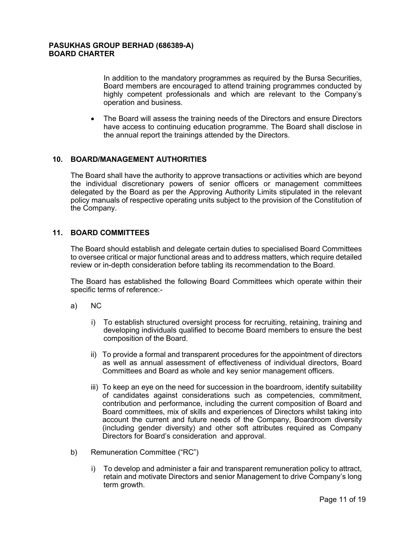In addition to the mandatory programmes as required by the Bursa Securities, Board members are encouraged to attend training programmes conducted by highly competent professionals and which are relevant to the Company's operation and business.

 The Board will assess the training needs of the Directors and ensure Directors have access to continuing education programme. The Board shall disclose in the annual report the trainings attended by the Directors.

## 10. BOARD/MANAGEMENT AUTHORITIES

The Board shall have the authority to approve transactions or activities which are beyond the individual discretionary powers of senior officers or management committees delegated by the Board as per the Approving Authority Limits stipulated in the relevant policy manuals of respective operating units subject to the provision of the Constitution of the Company.

## 11. BOARD COMMITTEES

The Board should establish and delegate certain duties to specialised Board Committees to oversee critical or major functional areas and to address matters, which require detailed review or in-depth consideration before tabling its recommendation to the Board.

The Board has established the following Board Committees which operate within their specific terms of reference:-

- a) NC
	- i) To establish structured oversight process for recruiting, retaining, training and developing individuals qualified to become Board members to ensure the best composition of the Board.
	- ii) To provide a formal and transparent procedures for the appointment of directors as well as annual assessment of effectiveness of individual directors, Board Committees and Board as whole and key senior management officers.
	- iii) To keep an eye on the need for succession in the boardroom, identify suitability of candidates against considerations such as competencies, commitment, contribution and performance, including the current composition of Board and Board committees, mix of skills and experiences of Directors whilst taking into account the current and future needs of the Company, Boardroom diversity (including gender diversity) and other soft attributes required as Company Directors for Board's consideration and approval.
- b) Remuneration Committee ("RC")
	- i) To develop and administer a fair and transparent remuneration policy to attract, retain and motivate Directors and senior Management to drive Company's long term growth.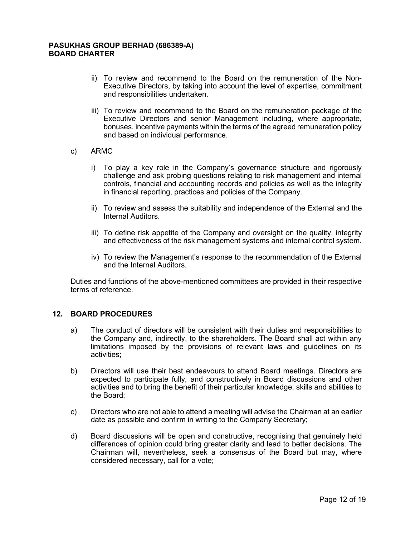- ii) To review and recommend to the Board on the remuneration of the Non-Executive Directors, by taking into account the level of expertise, commitment and responsibilities undertaken.
- iii) To review and recommend to the Board on the remuneration package of the Executive Directors and senior Management including, where appropriate, bonuses, incentive payments within the terms of the agreed remuneration policy and based on individual performance.
- c) ARMC
	- i) To play a key role in the Company's governance structure and rigorously challenge and ask probing questions relating to risk management and internal controls, financial and accounting records and policies as well as the integrity in financial reporting, practices and policies of the Company.
	- ii) To review and assess the suitability and independence of the External and the Internal Auditors.
	- iii) To define risk appetite of the Company and oversight on the quality, integrity and effectiveness of the risk management systems and internal control system.
	- iv) To review the Management's response to the recommendation of the External and the Internal Auditors.

Duties and functions of the above-mentioned committees are provided in their respective terms of reference.

## 12. BOARD PROCEDURES

- a) The conduct of directors will be consistent with their duties and responsibilities to the Company and, indirectly, to the shareholders. The Board shall act within any limitations imposed by the provisions of relevant laws and guidelines on its activities;
- b) Directors will use their best endeavours to attend Board meetings. Directors are expected to participate fully, and constructively in Board discussions and other activities and to bring the benefit of their particular knowledge, skills and abilities to the Board;
- c) Directors who are not able to attend a meeting will advise the Chairman at an earlier date as possible and confirm in writing to the Company Secretary;
- d) Board discussions will be open and constructive, recognising that genuinely held differences of opinion could bring greater clarity and lead to better decisions. The Chairman will, nevertheless, seek a consensus of the Board but may, where considered necessary, call for a vote;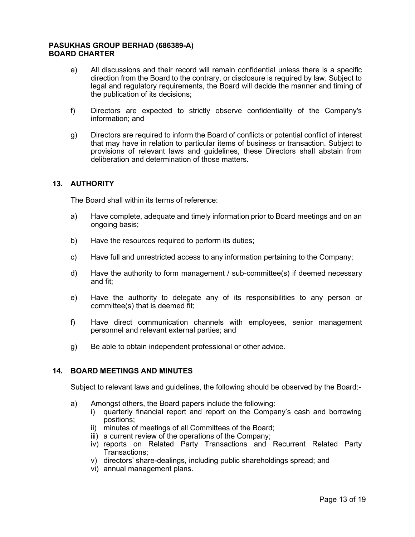- e) All discussions and their record will remain confidential unless there is a specific direction from the Board to the contrary, or disclosure is required by law. Subject to legal and regulatory requirements, the Board will decide the manner and timing of the publication of its decisions;
- f) Directors are expected to strictly observe confidentiality of the Company's information; and
- g) Directors are required to inform the Board of conflicts or potential conflict of interest that may have in relation to particular items of business or transaction. Subject to provisions of relevant laws and guidelines, these Directors shall abstain from deliberation and determination of those matters.

## 13. AUTHORITY

The Board shall within its terms of reference:

- a) Have complete, adequate and timely information prior to Board meetings and on an ongoing basis;
- b) Have the resources required to perform its duties;
- c) Have full and unrestricted access to any information pertaining to the Company;
- d) Have the authority to form management / sub-committee(s) if deemed necessary and fit;
- e) Have the authority to delegate any of its responsibilities to any person or committee(s) that is deemed fit;
- f) Have direct communication channels with employees, senior management personnel and relevant external parties; and
- g) Be able to obtain independent professional or other advice.

## 14. BOARD MEETINGS AND MINUTES

Subject to relevant laws and guidelines, the following should be observed by the Board:-

- a) Amongst others, the Board papers include the following:
	- i) quarterly financial report and report on the Company's cash and borrowing positions;
	- ii) minutes of meetings of all Committees of the Board;
	- iii) a current review of the operations of the Company;
	- iv) reports on Related Party Transactions and Recurrent Related Party Transactions;
	- v) directors' share-dealings, including public shareholdings spread; and
	- vi) annual management plans.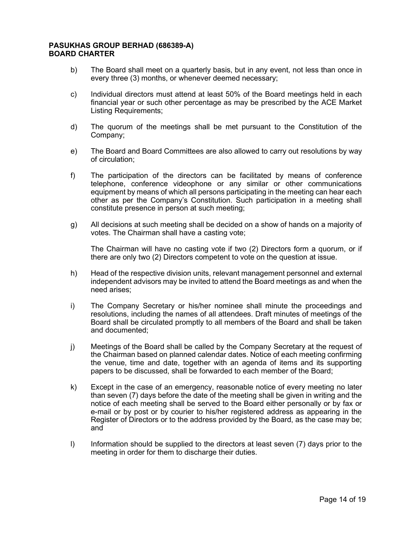- b) The Board shall meet on a quarterly basis, but in any event, not less than once in every three (3) months, or whenever deemed necessary;
- c) Individual directors must attend at least 50% of the Board meetings held in each financial year or such other percentage as may be prescribed by the ACE Market Listing Requirements;
- d) The quorum of the meetings shall be met pursuant to the Constitution of the Company;
- e) The Board and Board Committees are also allowed to carry out resolutions by way of circulation;
- f) The participation of the directors can be facilitated by means of conference telephone, conference videophone or any similar or other communications equipment by means of which all persons participating in the meeting can hear each other as per the Company's Constitution. Such participation in a meeting shall constitute presence in person at such meeting;
- g) All decisions at such meeting shall be decided on a show of hands on a majority of votes. The Chairman shall have a casting vote;

The Chairman will have no casting vote if two (2) Directors form a quorum, or if there are only two (2) Directors competent to vote on the question at issue.

- h) Head of the respective division units, relevant management personnel and external independent advisors may be invited to attend the Board meetings as and when the need arises;
- i) The Company Secretary or his/her nominee shall minute the proceedings and resolutions, including the names of all attendees. Draft minutes of meetings of the Board shall be circulated promptly to all members of the Board and shall be taken and documented;
- j) Meetings of the Board shall be called by the Company Secretary at the request of the Chairman based on planned calendar dates. Notice of each meeting confirming the venue, time and date, together with an agenda of items and its supporting papers to be discussed, shall be forwarded to each member of the Board;
- k) Except in the case of an emergency, reasonable notice of every meeting no later than seven (7) days before the date of the meeting shall be given in writing and the notice of each meeting shall be served to the Board either personally or by fax or e-mail or by post or by courier to his/her registered address as appearing in the Register of Directors or to the address provided by the Board, as the case may be; and
- l) Information should be supplied to the directors at least seven (7) days prior to the meeting in order for them to discharge their duties.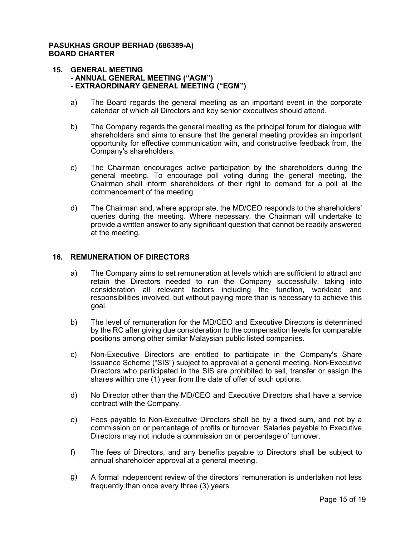#### 15. GENERAL MEETING - ANNUAL GENERAL MEETING ("AGM") - EXTRAORDINARY GENERAL MEETING ("EGM")

- a) The Board regards the general meeting as an important event in the corporate calendar of which all Directors and key senior executives should attend.
- b) The Company regards the general meeting as the principal forum for dialogue with shareholders and aims to ensure that the general meeting provides an important opportunity for effective communication with, and constructive feedback from, the Company's shareholders.
- c) The Chairman encourages active participation by the shareholders during the general meeting. To encourage poll voting during the general meeting, the Chairman shall inform shareholders of their right to demand for a poll at the commencement of the meeting.
- d) The Chairman and, where appropriate, the MD/CEO responds to the shareholders' queries during the meeting. Where necessary, the Chairman will undertake to provide a written answer to any significant question that cannot be readily answered at the meeting.

## 16. REMUNERATION OF DIRECTORS

- a) The Company aims to set remuneration at levels which are sufficient to attract and retain the Directors needed to run the Company successfully, taking into consideration all relevant factors including the function, workload and responsibilities involved, but without paying more than is necessary to achieve this goal.
- b) The level of remuneration for the MD/CEO and Executive Directors is determined by the RC after giving due consideration to the compensation levels for comparable positions among other similar Malaysian public listed companies.
- c) Non-Executive Directors are entitled to participate in the Company's Share Issuance Scheme ("SIS") subject to approval at a general meeting. Non-Executive Directors who participated in the SIS are prohibited to sell, transfer or assign the shares within one (1) year from the date of offer of such options.
- d) No Director other than the MD/CEO and Executive Directors shall have a service contract with the Company.
- e) Fees payable to Non-Executive Directors shall be by a fixed sum, and not by a commission on or percentage of profits or turnover. Salaries payable to Executive Directors may not include a commission on or percentage of turnover.
- f) The fees of Directors, and any benefits payable to Directors shall be subject to annual shareholder approval at a general meeting.
- g) A formal independent review of the directors' remuneration is undertaken not less frequently than once every three (3) years.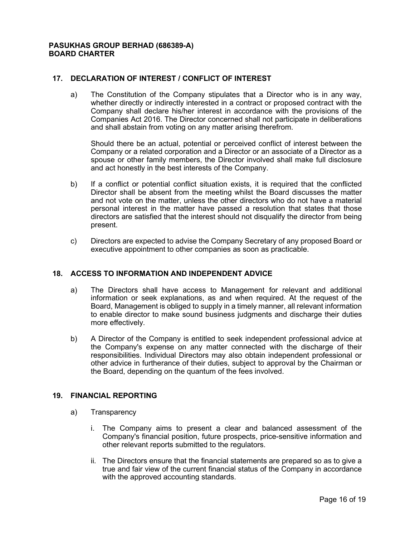## 17. DECLARATION OF INTEREST / CONFLICT OF INTEREST

a) The Constitution of the Company stipulates that a Director who is in any way, whether directly or indirectly interested in a contract or proposed contract with the Company shall declare his/her interest in accordance with the provisions of the Companies Act 2016. The Director concerned shall not participate in deliberations and shall abstain from voting on any matter arising therefrom.

Should there be an actual, potential or perceived conflict of interest between the Company or a related corporation and a Director or an associate of a Director as a spouse or other family members, the Director involved shall make full disclosure and act honestly in the best interests of the Company.

- b) If a conflict or potential conflict situation exists, it is required that the conflicted Director shall be absent from the meeting whilst the Board discusses the matter and not vote on the matter, unless the other directors who do not have a material personal interest in the matter have passed a resolution that states that those directors are satisfied that the interest should not disqualify the director from being present.
- c) Directors are expected to advise the Company Secretary of any proposed Board or executive appointment to other companies as soon as practicable.

## 18. ACCESS TO INFORMATION AND INDEPENDENT ADVICE

- a) The Directors shall have access to Management for relevant and additional information or seek explanations, as and when required. At the request of the Board, Management is obliged to supply in a timely manner, all relevant information to enable director to make sound business judgments and discharge their duties more effectively.
- b) A Director of the Company is entitled to seek independent professional advice at the Company's expense on any matter connected with the discharge of their responsibilities. Individual Directors may also obtain independent professional or other advice in furtherance of their duties, subject to approval by the Chairman or the Board, depending on the quantum of the fees involved.

## 19. FINANCIAL REPORTING

- a) Transparency
	- i. The Company aims to present a clear and balanced assessment of the Company's financial position, future prospects, price-sensitive information and other relevant reports submitted to the regulators.
	- ii. The Directors ensure that the financial statements are prepared so as to give a true and fair view of the current financial status of the Company in accordance with the approved accounting standards.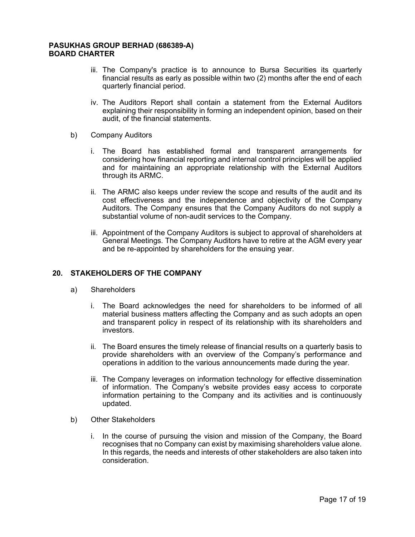- iii. The Company's practice is to announce to Bursa Securities its quarterly financial results as early as possible within two (2) months after the end of each quarterly financial period.
- iv. The Auditors Report shall contain a statement from the External Auditors explaining their responsibility in forming an independent opinion, based on their audit, of the financial statements.
- b) Company Auditors
	- i. The Board has established formal and transparent arrangements for considering how financial reporting and internal control principles will be applied and for maintaining an appropriate relationship with the External Auditors through its ARMC.
	- ii. The ARMC also keeps under review the scope and results of the audit and its cost effectiveness and the independence and objectivity of the Company Auditors. The Company ensures that the Company Auditors do not supply a substantial volume of non-audit services to the Company.
	- iii. Appointment of the Company Auditors is subject to approval of shareholders at General Meetings. The Company Auditors have to retire at the AGM every year and be re-appointed by shareholders for the ensuing year.

## 20. STAKEHOLDERS OF THE COMPANY

- a) Shareholders
	- i. The Board acknowledges the need for shareholders to be informed of all material business matters affecting the Company and as such adopts an open and transparent policy in respect of its relationship with its shareholders and investors.
	- ii. The Board ensures the timely release of financial results on a quarterly basis to provide shareholders with an overview of the Company's performance and operations in addition to the various announcements made during the year.
	- iii. The Company leverages on information technology for effective dissemination of information. The Company's website provides easy access to corporate information pertaining to the Company and its activities and is continuously updated.
- b) Other Stakeholders
	- i. In the course of pursuing the vision and mission of the Company, the Board recognises that no Company can exist by maximising shareholders value alone. In this regards, the needs and interests of other stakeholders are also taken into consideration.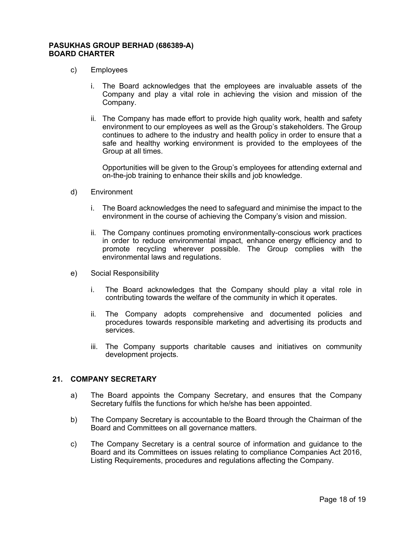- c) Employees
	- i. The Board acknowledges that the employees are invaluable assets of the Company and play a vital role in achieving the vision and mission of the Company.
	- ii. The Company has made effort to provide high quality work, health and safety environment to our employees as well as the Group's stakeholders. The Group continues to adhere to the industry and health policy in order to ensure that a safe and healthy working environment is provided to the employees of the Group at all times.

Opportunities will be given to the Group's employees for attending external and on-the-job training to enhance their skills and job knowledge.

- d) Environment
	- i. The Board acknowledges the need to safeguard and minimise the impact to the environment in the course of achieving the Company's vision and mission.
	- ii. The Company continues promoting environmentally-conscious work practices in order to reduce environmental impact, enhance energy efficiency and to promote recycling wherever possible. The Group complies with the environmental laws and regulations.
- e) Social Responsibility
	- i. The Board acknowledges that the Company should play a vital role in contributing towards the welfare of the community in which it operates.
	- ii. The Company adopts comprehensive and documented policies and procedures towards responsible marketing and advertising its products and services.
	- iii. The Company supports charitable causes and initiatives on community development projects.

## 21. COMPANY SECRETARY

- a) The Board appoints the Company Secretary, and ensures that the Company Secretary fulfils the functions for which he/she has been appointed.
- b) The Company Secretary is accountable to the Board through the Chairman of the Board and Committees on all governance matters.
- c) The Company Secretary is a central source of information and guidance to the Board and its Committees on issues relating to compliance Companies Act 2016, Listing Requirements, procedures and regulations affecting the Company.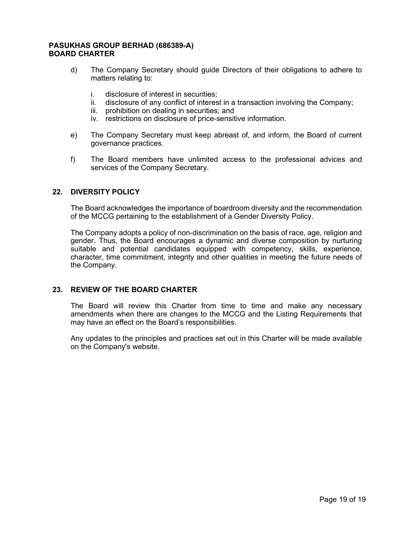- d) The Company Secretary should guide Directors of their obligations to adhere to matters relating to:
	- i. disclosure of interest in securities;
	- ii. disclosure of any conflict of interest in a transaction involving the Company;
	- iii. prohibition on dealing in securities; and
	- iv. restrictions on disclosure of price-sensitive information.
- e) The Company Secretary must keep abreast of, and inform, the Board of current governance practices.
- f) The Board members have unlimited access to the professional advices and services of the Company Secretary.

## 22. DIVERSITY POLICY

The Board acknowledges the importance of boardroom diversity and the recommendation of the MCCG pertaining to the establishment of a Gender Diversity Policy.

The Company adopts a policy of non-discrimination on the basis of race, age, religion and gender. Thus, the Board encourages a dynamic and diverse composition by nurturing suitable and potential candidates equipped with competency, skills, experience, character, time commitment, integrity and other qualities in meeting the future needs of the Company.

#### 23. REVIEW OF THE BOARD CHARTER

The Board will review this Charter from time to time and make any necessary amendments when there are changes to the MCCG and the Listing Requirements that may have an effect on the Board's responsibilities.

Any updates to the principles and practices set out in this Charter will be made available on the Company's website.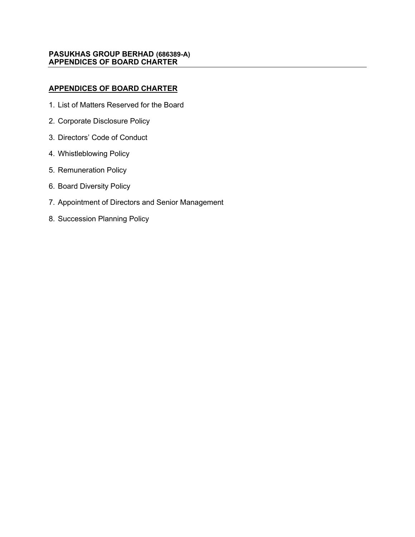## PASUKHAS GROUP BERHAD (686389-A) APPENDICES OF BOARD CHARTER

# APPENDICES OF BOARD CHARTER

- 1. List of Matters Reserved for the Board
- 2. Corporate Disclosure Policy
- 3. Directors' Code of Conduct
- 4. Whistleblowing Policy
- 5. Remuneration Policy
- 6. Board Diversity Policy
- 7. Appointment of Directors and Senior Management
- 8. Succession Planning Policy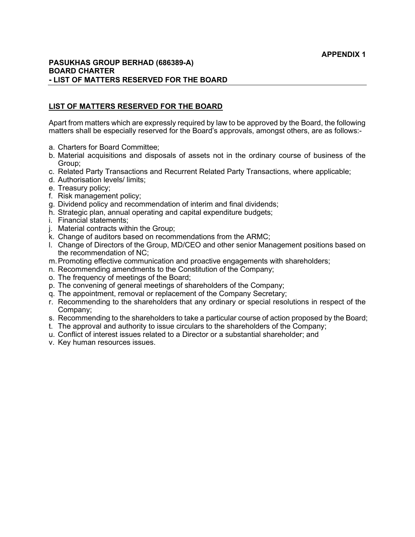## PASUKHAS GROUP BERHAD (686389-A) BOARD CHARTER - LIST OF MATTERS RESERVED FOR THE BOARD

## LIST OF MATTERS RESERVED FOR THE BOARD

Apart from matters which are expressly required by law to be approved by the Board, the following matters shall be especially reserved for the Board's approvals, amongst others, are as follows:-

- a. Charters for Board Committee;
- b. Material acquisitions and disposals of assets not in the ordinary course of business of the Group;
- c. Related Party Transactions and Recurrent Related Party Transactions, where applicable;
- d. Authorisation levels/ limits;
- e. Treasury policy;
- f. Risk management policy;
- g. Dividend policy and recommendation of interim and final dividends;
- h. Strategic plan, annual operating and capital expenditure budgets;
- i. Financial statements;
- j. Material contracts within the Group;
- k. Change of auditors based on recommendations from the ARMC;
- l. Change of Directors of the Group, MD/CEO and other senior Management positions based on the recommendation of NC;
- m. Promoting effective communication and proactive engagements with shareholders;
- n. Recommending amendments to the Constitution of the Company;
- o. The frequency of meetings of the Board;
- p. The convening of general meetings of shareholders of the Company;
- q. The appointment, removal or replacement of the Company Secretary;
- r. Recommending to the shareholders that any ordinary or special resolutions in respect of the Company;
- s. Recommending to the shareholders to take a particular course of action proposed by the Board;
- t. The approval and authority to issue circulars to the shareholders of the Company;
- u. Conflict of interest issues related to a Director or a substantial shareholder; and
- v. Key human resources issues.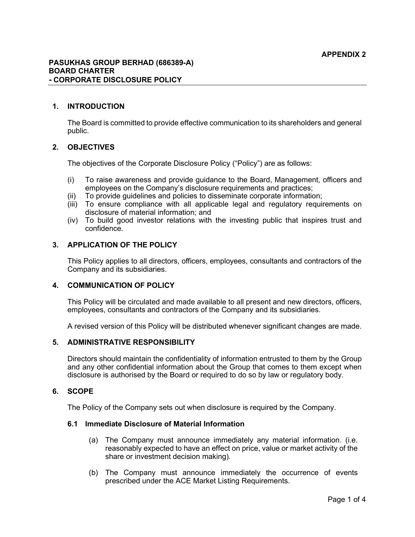## 1. INTRODUCTION

The Board is committed to provide effective communication to its shareholders and general public.

## 2. OBJECTIVES

The objectives of the Corporate Disclosure Policy ("Policy") are as follows:

- (i) To raise awareness and provide guidance to the Board, Management, officers and employees on the Company's disclosure requirements and practices;
- (ii) To provide guidelines and policies to disseminate corporate information;
- (ii) To ensure compliance with all applicable legal and regulatory requirements on disclosure of material information; and
- (iv) To build good investor relations with the investing public that inspires trust and confidence.

# 3. APPLICATION OF THE POLICY

This Policy applies to all directors, officers, employees, consultants and contractors of the Company and its subsidiaries.

## 4. COMMUNICATION OF POLICY

This Policy will be circulated and made available to all present and new directors, officers, employees, consultants and contractors of the Company and its subsidiaries.

A revised version of this Policy will be distributed whenever significant changes are made.

## 5. ADMINISTRATIVE RESPONSIBILITY

Directors should maintain the confidentiality of information entrusted to them by the Group and any other confidential information about the Group that comes to them except when disclosure is authorised by the Board or required to do so by law or regulatory body.

## 6. SCOPE

The Policy of the Company sets out when disclosure is required by the Company.

## 6.1 Immediate Disclosure of Material Information

- (a) The Company must announce immediately any material information. (i.e. reasonably expected to have an effect on price, value or market activity of the share or investment decision making).
- (b) The Company must announce immediately the occurrence of events prescribed under the ACE Market Listing Requirements.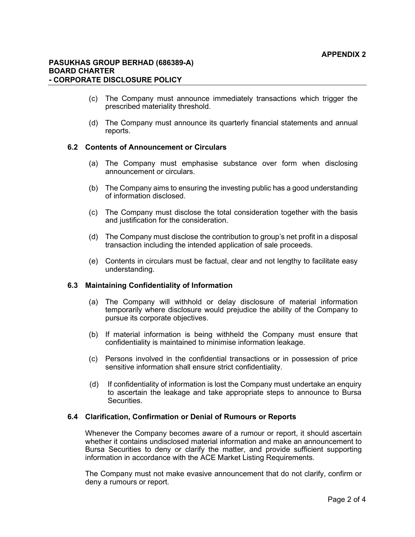- (c) The Company must announce immediately transactions which trigger the prescribed materiality threshold.
- (d) The Company must announce its quarterly financial statements and annual reports.

## 6.2 Contents of Announcement or Circulars

- (a) The Company must emphasise substance over form when disclosing announcement or circulars.
- (b) The Company aims to ensuring the investing public has a good understanding of information disclosed.
- (c) The Company must disclose the total consideration together with the basis and justification for the consideration.
- (d) The Company must disclose the contribution to group's net profit in a disposal transaction including the intended application of sale proceeds.
- (e) Contents in circulars must be factual, clear and not lengthy to facilitate easy understanding.

## 6.3 Maintaining Confidentiality of Information

- (a) The Company will withhold or delay disclosure of material information temporarily where disclosure would prejudice the ability of the Company to pursue its corporate objectives.
- (b) If material information is being withheld the Company must ensure that confidentiality is maintained to minimise information leakage.
- (c) Persons involved in the confidential transactions or in possession of price sensitive information shall ensure strict confidentiality.
- (d) If confidentiality of information is lost the Company must undertake an enquiry to ascertain the leakage and take appropriate steps to announce to Bursa Securities.

#### 6.4 Clarification, Confirmation or Denial of Rumours or Reports

Whenever the Company becomes aware of a rumour or report, it should ascertain whether it contains undisclosed material information and make an announcement to Bursa Securities to deny or clarify the matter, and provide sufficient supporting information in accordance with the ACE Market Listing Requirements.

The Company must not make evasive announcement that do not clarify, confirm or deny a rumours or report.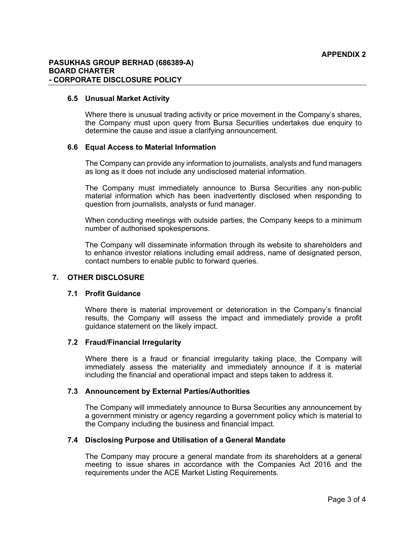#### PASUKHAS GROUP BERHAD (686389-A) BOARD CHARTER - CORPORATE DISCLOSURE POLICY

#### 6.5 Unusual Market Activity

Where there is unusual trading activity or price movement in the Company's shares, the Company must upon query from Bursa Securities undertakes due enquiry to determine the cause and issue a clarifying announcement.

### 6.6 Equal Access to Material Information

The Company can provide any information to journalists, analysts and fund managers as long as it does not include any undisclosed material information.

The Company must immediately announce to Bursa Securities any non-public material information which has been inadvertently disclosed when responding to question from journalists, analysts or fund manager.

When conducting meetings with outside parties, the Company keeps to a minimum number of authorised spokespersons.

The Company will disseminate information through its website to shareholders and to enhance investor relations including email address, name of designated person, contact numbers to enable public to forward queries.

## 7. OTHER DISCLOSURE

#### 7.1 Profit Guidance

Where there is material improvement or deterioration in the Company's financial results, the Company will assess the impact and immediately provide a profit guidance statement on the likely impact.

#### 7.2 Fraud/Financial Irregularity

Where there is a fraud or financial irregularity taking place, the Company will immediately assess the materiality and immediately announce if it is material including the financial and operational impact and steps taken to address it.

#### 7.3 Announcement by External Parties/Authorities

The Company will immediately announce to Bursa Securities any announcement by a government ministry or agency regarding a government policy which is material to the Company including the business and financial impact.

## 7.4 Disclosing Purpose and Utilisation of a General Mandate

The Company may procure a general mandate from its shareholders at a general meeting to issue shares in accordance with the Companies Act 2016 and the requirements under the ACE Market Listing Requirements.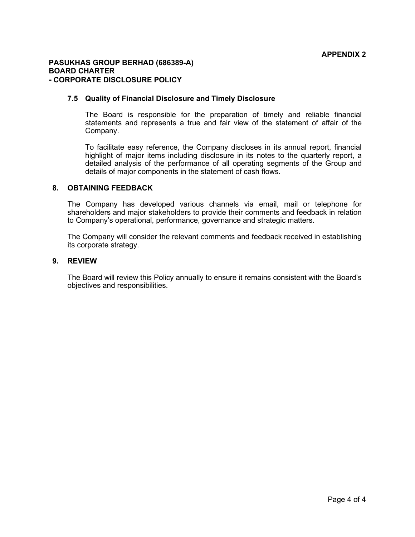## PASUKHAS GROUP BERHAD (686389-A) BOARD CHARTER - CORPORATE DISCLOSURE POLICY

### 7.5 Quality of Financial Disclosure and Timely Disclosure

The Board is responsible for the preparation of timely and reliable financial statements and represents a true and fair view of the statement of affair of the Company.

To facilitate easy reference, the Company discloses in its annual report, financial highlight of major items including disclosure in its notes to the quarterly report, a detailed analysis of the performance of all operating segments of the Group and details of major components in the statement of cash flows.

#### 8. OBTAINING FEEDBACK

The Company has developed various channels via email, mail or telephone for shareholders and major stakeholders to provide their comments and feedback in relation to Company's operational, performance, governance and strategic matters.

The Company will consider the relevant comments and feedback received in establishing its corporate strategy.

### 9. REVIEW

The Board will review this Policy annually to ensure it remains consistent with the Board's objectives and responsibilities.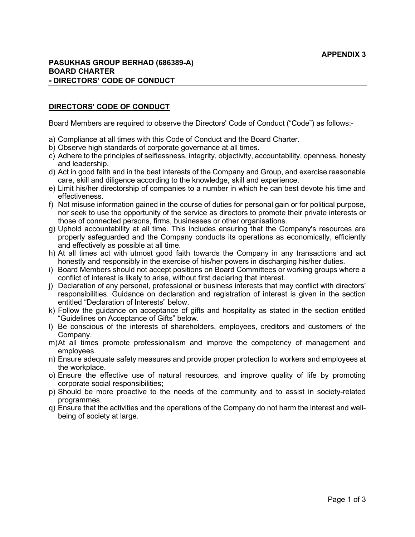## DIRECTORS' CODE OF CONDUCT

Board Members are required to observe the Directors' Code of Conduct ("Code") as follows:-

- a) Compliance at all times with this Code of Conduct and the Board Charter.
- b) Observe high standards of corporate governance at all times.
- c) Adhere to the principles of selflessness, integrity, objectivity, accountability, openness, honesty and leadership.
- d) Act in good faith and in the best interests of the Company and Group, and exercise reasonable care, skill and diligence according to the knowledge, skill and experience.
- e) Limit his/her directorship of companies to a number in which he can best devote his time and effectiveness.
- f) Not misuse information gained in the course of duties for personal gain or for political purpose, nor seek to use the opportunity of the service as directors to promote their private interests or those of connected persons, firms, businesses or other organisations.
- g) Uphold accountability at all time. This includes ensuring that the Company's resources are properly safeguarded and the Company conducts its operations as economically, efficiently and effectively as possible at all time.
- h) At all times act with utmost good faith towards the Company in any transactions and act honestly and responsibly in the exercise of his/her powers in discharging his/her duties.
- i) Board Members should not accept positions on Board Committees or working groups where a conflict of interest is likely to arise, without first declaring that interest.
- j) Declaration of any personal, professional or business interests that may conflict with directors' responsibilities. Guidance on declaration and registration of interest is given in the section entitled "Declaration of Interests" below.
- k) Follow the guidance on acceptance of gifts and hospitality as stated in the section entitled "Guidelines on Acceptance of Gifts" below.
- l) Be conscious of the interests of shareholders, employees, creditors and customers of the Company.
- m) At all times promote professionalism and improve the competency of management and employees.
- n) Ensure adequate safety measures and provide proper protection to workers and employees at the workplace.
- o) Ensure the effective use of natural resources, and improve quality of life by promoting corporate social responsibilities;
- p) Should be more proactive to the needs of the community and to assist in society-related programmes.
- q) Ensure that the activities and the operations of the Company do not harm the interest and wellbeing of society at large.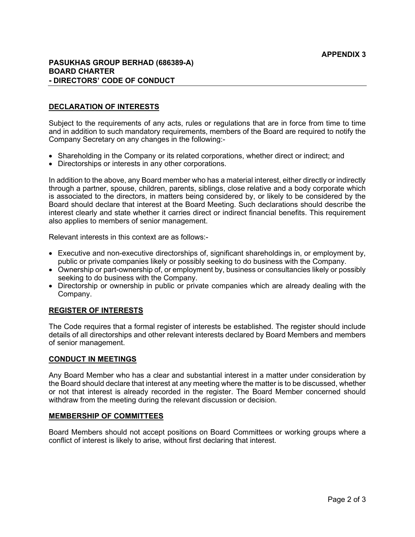## PASUKHAS GROUP BERHAD (686389-A) BOARD CHARTER - DIRECTORS' CODE OF CONDUCT

## DECLARATION OF INTERESTS

Subject to the requirements of any acts, rules or regulations that are in force from time to time and in addition to such mandatory requirements, members of the Board are required to notify the Company Secretary on any changes in the following:-

- Shareholding in the Company or its related corporations, whether direct or indirect; and
- Directorships or interests in any other corporations.

In addition to the above, any Board member who has a material interest, either directly or indirectly through a partner, spouse, children, parents, siblings, close relative and a body corporate which is associated to the directors, in matters being considered by, or likely to be considered by the Board should declare that interest at the Board Meeting. Such declarations should describe the interest clearly and state whether it carries direct or indirect financial benefits. This requirement also applies to members of senior management.

Relevant interests in this context are as follows:-

- Executive and non-executive directorships of, significant shareholdings in, or employment by, public or private companies likely or possibly seeking to do business with the Company.
- Ownership or part-ownership of, or employment by, business or consultancies likely or possibly seeking to do business with the Company.
- Directorship or ownership in public or private companies which are already dealing with the Company.

## REGISTER OF INTERESTS

The Code requires that a formal register of interests be established. The register should include details of all directorships and other relevant interests declared by Board Members and members of senior management.

#### CONDUCT IN MEETINGS

Any Board Member who has a clear and substantial interest in a matter under consideration by the Board should declare that interest at any meeting where the matter is to be discussed, whether or not that interest is already recorded in the register. The Board Member concerned should withdraw from the meeting during the relevant discussion or decision.

## MEMBERSHIP OF COMMITTEES

Board Members should not accept positions on Board Committees or working groups where a conflict of interest is likely to arise, without first declaring that interest.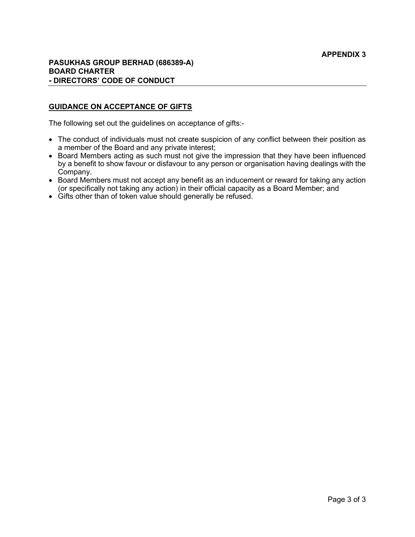## GUIDANCE ON ACCEPTANCE OF GIFTS

The following set out the guidelines on acceptance of gifts:-

- The conduct of individuals must not create suspicion of any conflict between their position as a member of the Board and any private interest;
- Board Members acting as such must not give the impression that they have been influenced by a benefit to show favour or disfavour to any person or organisation having dealings with the Company.
- Board Members must not accept any benefit as an inducement or reward for taking any action (or specifically not taking any action) in their official capacity as a Board Member; and
- Gifts other than of token value should generally be refused.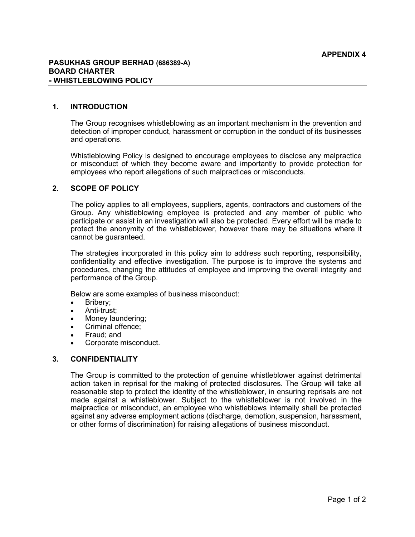## 1. INTRODUCTION

The Group recognises whistleblowing as an important mechanism in the prevention and detection of improper conduct, harassment or corruption in the conduct of its businesses and operations.

Whistleblowing Policy is designed to encourage employees to disclose any malpractice or misconduct of which they become aware and importantly to provide protection for employees who report allegations of such malpractices or misconducts.

## 2. SCOPE OF POLICY

The policy applies to all employees, suppliers, agents, contractors and customers of the Group. Any whistleblowing employee is protected and any member of public who participate or assist in an investigation will also be protected. Every effort will be made to protect the anonymity of the whistleblower, however there may be situations where it cannot be guaranteed.

The strategies incorporated in this policy aim to address such reporting, responsibility, confidentiality and effective investigation. The purpose is to improve the systems and procedures, changing the attitudes of employee and improving the overall integrity and performance of the Group.

Below are some examples of business misconduct:

- Bribery;
- Anti-trust;
- Money laundering;
- Criminal offence;
- Fraud; and
- Corporate misconduct.

## 3. CONFIDENTIALITY

The Group is committed to the protection of genuine whistleblower against detrimental action taken in reprisal for the making of protected disclosures. The Group will take all reasonable step to protect the identity of the whistleblower, in ensuring reprisals are not made against a whistleblower. Subject to the whistleblower is not involved in the malpractice or misconduct, an employee who whistleblows internally shall be protected against any adverse employment actions (discharge, demotion, suspension, harassment, or other forms of discrimination) for raising allegations of business misconduct.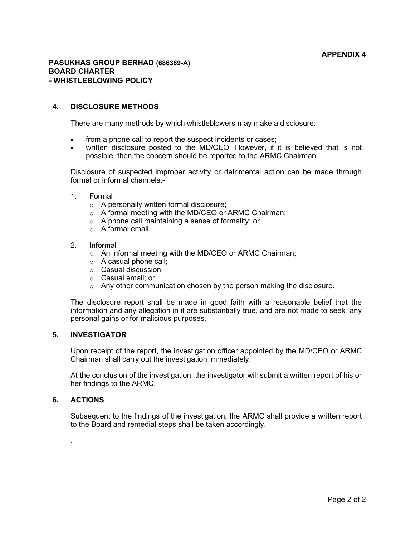## 4. DISCLOSURE METHODS

There are many methods by which whistleblowers may make a disclosure:

- from a phone call to report the suspect incidents or cases;
- written disclosure posted to the MD/CEO. However, if it is believed that is not possible, then the concern should be reported to the ARMC Chairman.

Disclosure of suspected improper activity or detrimental action can be made through formal or informal channels:-

- 1. Formal
	- o A personally written formal disclosure;
	- o A formal meeting with the MD/CEO or ARMC Chairman;
	- $\circ$  A phone call maintaining a sense of formality; or
	- $\circ$  A formal email.
- 2. Informal
	- o An informal meeting with the MD/CEO or ARMC Chairman;
	- $\circ$  A casual phone call;
	- o Casual discussion;
	- o Casual email; or
	- $\circ$  Any other communication chosen by the person making the disclosure.

The disclosure report shall be made in good faith with a reasonable belief that the information and any allegation in it are substantially true, and are not made to seek any personal gains or for malicious purposes.

## 5. INVESTIGATOR

Upon receipt of the report, the investigation officer appointed by the MD/CEO or ARMC Chairman shall carry out the investigation immediately.

At the conclusion of the investigation, the investigator will submit a written report of his or her findings to the ARMC.

#### 6. ACTIONS

.

Subsequent to the findings of the investigation, the ARMC shall provide a written report to the Board and remedial steps shall be taken accordingly.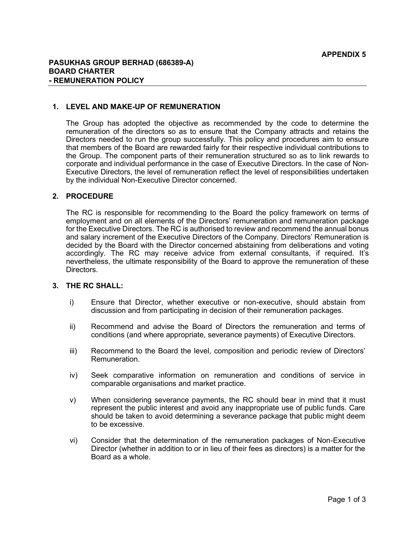## 1. LEVEL AND MAKE-UP OF REMUNERATION

The Group has adopted the objective as recommended by the code to determine the remuneration of the directors so as to ensure that the Company attracts and retains the Directors needed to run the group successfully. This policy and procedures aim to ensure that members of the Board are rewarded fairly for their respective individual contributions to the Group. The component parts of their remuneration structured so as to link rewards to corporate and individual performance in the case of Executive Directors. In the case of Non-Executive Directors, the level of remuneration reflect the level of responsibilities undertaken by the individual Non-Executive Director concerned.

## 2. PROCEDURE

The RC is responsible for recommending to the Board the policy framework on terms of employment and on all elements of the Directors' remuneration and remuneration package for the Executive Directors. The RC is authorised to review and recommend the annual bonus and salary increment of the Executive Directors of the Company. Directors' Remuneration is decided by the Board with the Director concerned abstaining from deliberations and voting accordingly. The RC may receive advice from external consultants, if required. It's nevertheless, the ultimate responsibility of the Board to approve the remuneration of these **Directors** 

# 3. THE RC SHALL:

- i) Ensure that Director, whether executive or non-executive, should abstain from discussion and from participating in decision of their remuneration packages.
- ii) Recommend and advise the Board of Directors the remuneration and terms of conditions (and where appropriate, severance payments) of Executive Directors.
- iii) Recommend to the Board the level, composition and periodic review of Directors' Remuneration.
- iv) Seek comparative information on remuneration and conditions of service in comparable organisations and market practice.
- v) When considering severance payments, the RC should bear in mind that it must represent the public interest and avoid any inappropriate use of public funds. Care should be taken to avoid determining a severance package that public might deem to be excessive.
- vi) Consider that the determination of the remuneration packages of Non-Executive Director (whether in addition to or in lieu of their fees as directors) is a matter for the Board as a whole.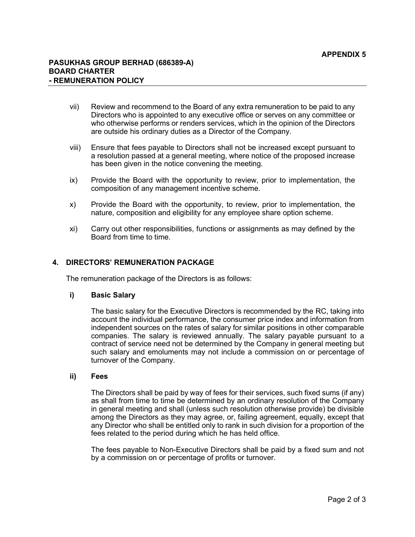- vii) Review and recommend to the Board of any extra remuneration to be paid to any Directors who is appointed to any executive office or serves on any committee or who otherwise performs or renders services, which in the opinion of the Directors are outside his ordinary duties as a Director of the Company.
- viii) Ensure that fees payable to Directors shall not be increased except pursuant to a resolution passed at a general meeting, where notice of the proposed increase has been given in the notice convening the meeting.
- ix) Provide the Board with the opportunity to review, prior to implementation, the composition of any management incentive scheme.
- x) Provide the Board with the opportunity, to review, prior to implementation, the nature, composition and eligibility for any employee share option scheme.
- xi) Carry out other responsibilities, functions or assignments as may defined by the Board from time to time.

# 4. DIRECTORS' REMUNERATION PACKAGE

The remuneration package of the Directors is as follows:

## i) Basic Salary

The basic salary for the Executive Directors is recommended by the RC, taking into account the individual performance, the consumer price index and information from independent sources on the rates of salary for similar positions in other comparable companies. The salary is reviewed annually. The salary payable pursuant to a contract of service need not be determined by the Company in general meeting but such salary and emoluments may not include a commission on or percentage of turnover of the Company.

#### ii) Fees

The Directors shall be paid by way of fees for their services, such fixed sums (if any) as shall from time to time be determined by an ordinary resolution of the Company in general meeting and shall (unless such resolution otherwise provide) be divisible among the Directors as they may agree, or, failing agreement, equally, except that any Director who shall be entitled only to rank in such division for a proportion of the fees related to the period during which he has held office.

The fees payable to Non-Executive Directors shall be paid by a fixed sum and not by a commission on or percentage of profits or turnover.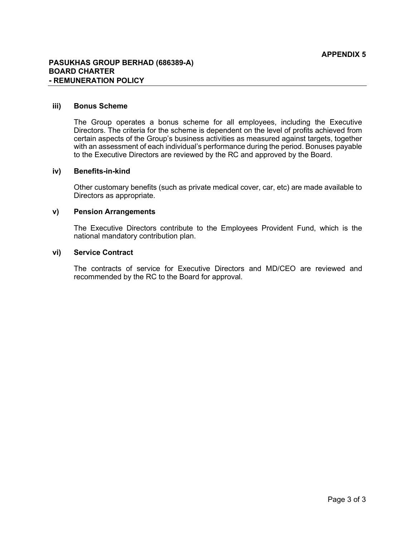#### iii) Bonus Scheme

The Group operates a bonus scheme for all employees, including the Executive Directors. The criteria for the scheme is dependent on the level of profits achieved from certain aspects of the Group's business activities as measured against targets, together with an assessment of each individual's performance during the period. Bonuses payable to the Executive Directors are reviewed by the RC and approved by the Board.

## iv) Benefits-in-kind

Other customary benefits (such as private medical cover, car, etc) are made available to Directors as appropriate.

#### v) Pension Arrangements

The Executive Directors contribute to the Employees Provident Fund, which is the national mandatory contribution plan.

#### vi) Service Contract

The contracts of service for Executive Directors and MD/CEO are reviewed and recommended by the RC to the Board for approval.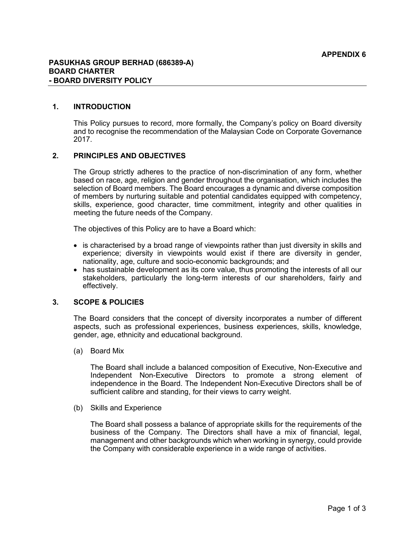### 1. INTRODUCTION

This Policy pursues to record, more formally, the Company's policy on Board diversity and to recognise the recommendation of the Malaysian Code on Corporate Governance 2017.

#### 2. PRINCIPLES AND OBJECTIVES

The Group strictly adheres to the practice of non-discrimination of any form, whether based on race, age, religion and gender throughout the organisation, which includes the selection of Board members. The Board encourages a dynamic and diverse composition of members by nurturing suitable and potential candidates equipped with competency, skills, experience, good character, time commitment, integrity and other qualities in meeting the future needs of the Company.

The objectives of this Policy are to have a Board which:

- is characterised by a broad range of viewpoints rather than just diversity in skills and experience; diversity in viewpoints would exist if there are diversity in gender, nationality, age, culture and socio-economic backgrounds; and
- has sustainable development as its core value, thus promoting the interests of all our stakeholders, particularly the long-term interests of our shareholders, fairly and effectively.

## 3. SCOPE & POLICIES

The Board considers that the concept of diversity incorporates a number of different aspects, such as professional experiences, business experiences, skills, knowledge, gender, age, ethnicity and educational background.

(a) Board Mix

The Board shall include a balanced composition of Executive, Non-Executive and Independent Non-Executive Directors to promote a strong element of independence in the Board. The Independent Non-Executive Directors shall be of sufficient calibre and standing, for their views to carry weight.

(b) Skills and Experience

The Board shall possess a balance of appropriate skills for the requirements of the business of the Company. The Directors shall have a mix of financial, legal, management and other backgrounds which when working in synergy, could provide the Company with considerable experience in a wide range of activities.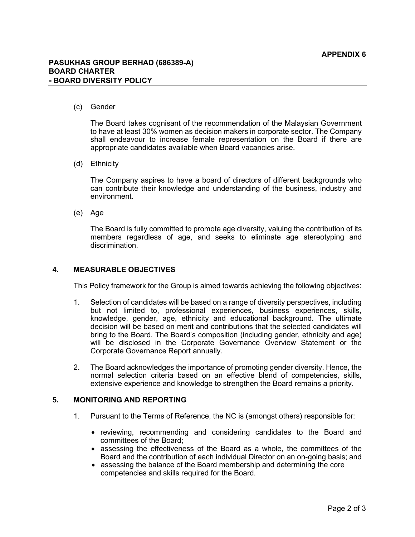#### (c) Gender

The Board takes cognisant of the recommendation of the Malaysian Government to have at least 30% women as decision makers in corporate sector. The Company shall endeavour to increase female representation on the Board if there are appropriate candidates available when Board vacancies arise.

#### (d) Ethnicity

The Company aspires to have a board of directors of different backgrounds who can contribute their knowledge and understanding of the business, industry and environment.

(e) Age

The Board is fully committed to promote age diversity, valuing the contribution of its members regardless of age, and seeks to eliminate age stereotyping and discrimination.

## 4. MEASURABLE OBJECTIVES

This Policy framework for the Group is aimed towards achieving the following objectives:

- 1. Selection of candidates will be based on a range of diversity perspectives, including but not limited to, professional experiences, business experiences, skills, knowledge, gender, age, ethnicity and educational background. The ultimate decision will be based on merit and contributions that the selected candidates will bring to the Board. The Board's composition (including gender, ethnicity and age) will be disclosed in the Corporate Governance Overview Statement or the Corporate Governance Report annually.
- 2. The Board acknowledges the importance of promoting gender diversity. Hence, the normal selection criteria based on an effective blend of competencies, skills, extensive experience and knowledge to strengthen the Board remains a priority.

#### 5. MONITORING AND REPORTING

- 1. Pursuant to the Terms of Reference, the NC is (amongst others) responsible for:
	- reviewing, recommending and considering candidates to the Board and committees of the Board;
	- assessing the effectiveness of the Board as a whole, the committees of the Board and the contribution of each individual Director on an on-going basis; and
	- assessing the balance of the Board membership and determining the core competencies and skills required for the Board.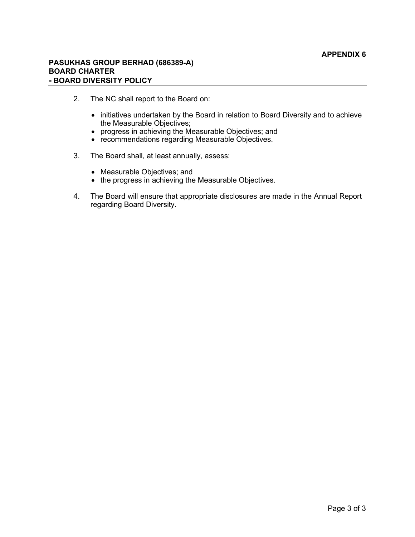## PASUKHAS GROUP BERHAD (686389-A) BOARD CHARTER - BOARD DIVERSITY POLICY

- 2. The NC shall report to the Board on:
	- initiatives undertaken by the Board in relation to Board Diversity and to achieve the Measurable Objectives;
	- progress in achieving the Measurable Objectives; and
	- recommendations regarding Measurable Objectives.
- 3. The Board shall, at least annually, assess:
	- Measurable Objectives; and
	- the progress in achieving the Measurable Objectives.
- 4. The Board will ensure that appropriate disclosures are made in the Annual Report regarding Board Diversity.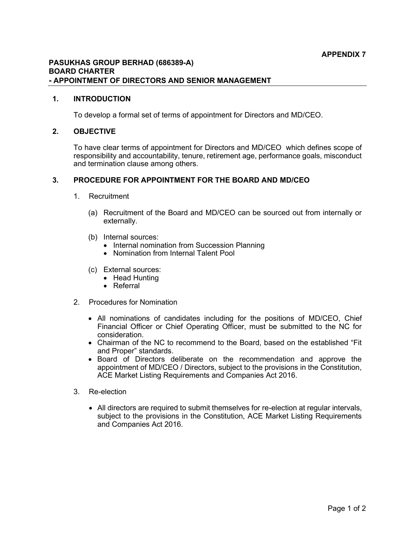## PASUKHAS GROUP BERHAD (686389-A) BOARD CHARTER - APPOINTMENT OF DIRECTORS AND SENIOR MANAGEMENT

## 1. INTRODUCTION

To develop a formal set of terms of appointment for Directors and MD/CEO.

#### 2. OBJECTIVE

To have clear terms of appointment for Directors and MD/CEO which defines scope of responsibility and accountability, tenure, retirement age, performance goals, misconduct and termination clause among others.

# 3. PROCEDURE FOR APPOINTMENT FOR THE BOARD AND MD/CEO

- 1. Recruitment
	- (a) Recruitment of the Board and MD/CEO can be sourced out from internally or externally.
	- (b) Internal sources:
		- Internal nomination from Succession Planning
		- Nomination from Internal Talent Pool
	- (c) External sources:
		- Head Hunting
		- Referral
- 2. Procedures for Nomination
	- All nominations of candidates including for the positions of MD/CEO, Chief Financial Officer or Chief Operating Officer, must be submitted to the NC for consideration.
	- Chairman of the NC to recommend to the Board, based on the established "Fit and Proper" standards.
	- Board of Directors deliberate on the recommendation and approve the appointment of MD/CEO / Directors, subject to the provisions in the Constitution, ACE Market Listing Requirements and Companies Act 2016.
- 3. Re-election
	- All directors are required to submit themselves for re-election at regular intervals, subject to the provisions in the Constitution, ACE Market Listing Requirements and Companies Act 2016.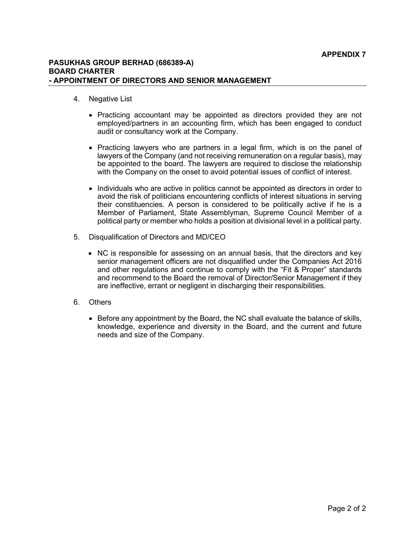## PASUKHAS GROUP BERHAD (686389-A) BOARD CHARTER - APPOINTMENT OF DIRECTORS AND SENIOR MANAGEMENT

- 4. Negative List
	- Practicing accountant may be appointed as directors provided they are not employed/partners in an accounting firm, which has been engaged to conduct audit or consultancy work at the Company.
	- Practicing lawyers who are partners in a legal firm, which is on the panel of lawyers of the Company (and not receiving remuneration on a regular basis), may be appointed to the board. The lawyers are required to disclose the relationship with the Company on the onset to avoid potential issues of conflict of interest.
	- Individuals who are active in politics cannot be appointed as directors in order to avoid the risk of politicians encountering conflicts of interest situations in serving their constituencies. A person is considered to be politically active if he is a Member of Parliament, State Assemblyman, Supreme Council Member of a political party or member who holds a position at divisional level in a political party.
- 5. Disqualification of Directors and MD/CEO
	- NC is responsible for assessing on an annual basis, that the directors and key senior management officers are not disqualified under the Companies Act 2016 and other regulations and continue to comply with the "Fit & Proper" standards and recommend to the Board the removal of Director/Senior Management if they are ineffective, errant or negligent in discharging their responsibilities.
- 6. Others
	- Before any appointment by the Board, the NC shall evaluate the balance of skills, knowledge, experience and diversity in the Board, and the current and future needs and size of the Company.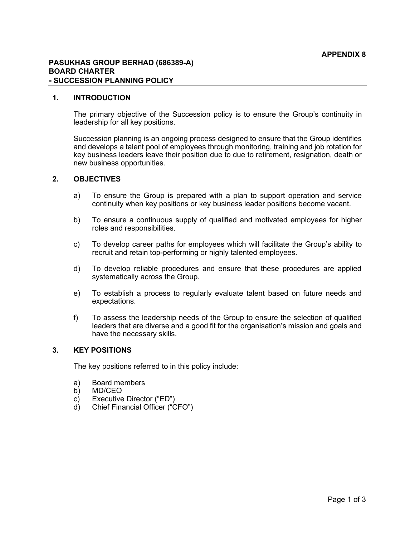### PASUKHAS GROUP BERHAD (686389-A) BOARD CHARTER - SUCCESSION PLANNING POLICY

### 1. INTRODUCTION

The primary objective of the Succession policy is to ensure the Group's continuity in leadership for all key positions.

Succession planning is an ongoing process designed to ensure that the Group identifies and develops a talent pool of employees through monitoring, training and job rotation for key business leaders leave their position due to due to retirement, resignation, death or new business opportunities.

## 2. OBJECTIVES

- a) To ensure the Group is prepared with a plan to support operation and service continuity when key positions or key business leader positions become vacant.
- b) To ensure a continuous supply of qualified and motivated employees for higher roles and responsibilities.
- c) To develop career paths for employees which will facilitate the Group's ability to recruit and retain top-performing or highly talented employees.
- d) To develop reliable procedures and ensure that these procedures are applied systematically across the Group.
- e) To establish a process to regularly evaluate talent based on future needs and expectations.
- f) To assess the leadership needs of the Group to ensure the selection of qualified leaders that are diverse and a good fit for the organisation's mission and goals and have the necessary skills.

## 3. KEY POSITIONS

The key positions referred to in this policy include:

- a) Board members
- b) MD/CEO
- c) Executive Director ("ED")
- d) Chief Financial Officer ("CFO")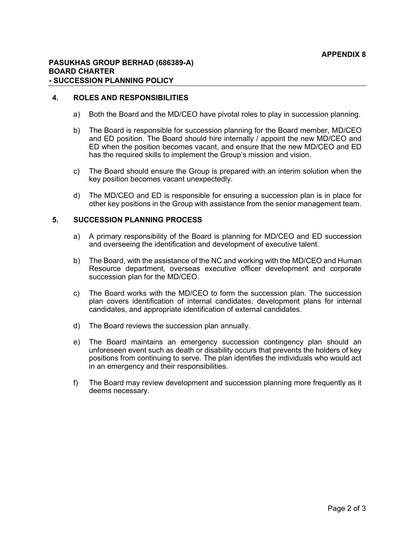#### 4. ROLES AND RESPONSIBILITIES

- a) Both the Board and the MD/CEO have pivotal roles to play in succession planning.
- b) The Board is responsible for succession planning for the Board member, MD/CEO and ED position. The Board should hire internally / appoint the new MD/CEO and ED when the position becomes vacant, and ensure that the new MD/CEO and ED has the required skills to implement the Group's mission and vision.
- c) The Board should ensure the Group is prepared with an interim solution when the key position becomes vacant unexpectedly.
- d) The MD/CEO and ED is responsible for ensuring a succession plan is in place for other key positions in the Group with assistance from the senior management team.

## 5. SUCCESSION PLANNING PROCESS

- a) A primary responsibility of the Board is planning for MD/CEO and ED succession and overseeing the identification and development of executive talent.
- b) The Board, with the assistance of the NC and working with the MD/CEO and Human Resource department, overseas executive officer development and corporate succession plan for the MD/CEO.
- c) The Board works with the MD/CEO to form the succession plan. The succession plan covers identification of internal candidates, development plans for internal candidates, and appropriate identification of external candidates.
- d) The Board reviews the succession plan annually.
- e) The Board maintains an emergency succession contingency plan should an unforeseen event such as death or disability occurs that prevents the holders of key positions from continuing to serve. The plan identifies the individuals who would act in an emergency and their responsibilities.
- f) The Board may review development and succession planning more frequently as it deems necessary.